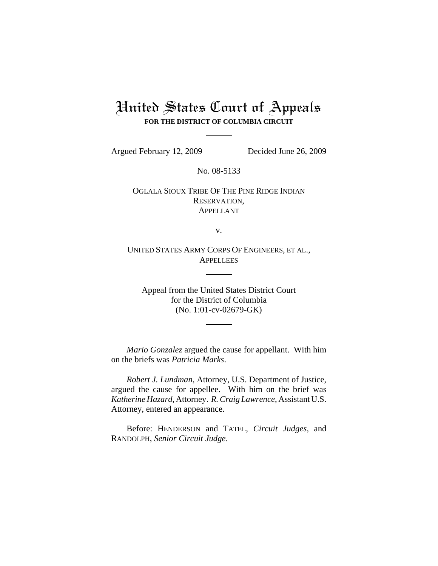## United States Court of Appeals **FOR THE DISTRICT OF COLUMBIA CIRCUIT**

Argued February 12, 2009 Decided June 26, 2009

No. 08-5133

OGLALA SIOUX TRIBE OF THE PINE RIDGE INDIAN RESERVATION, APPELLANT

v.

UNITED STATES ARMY CORPS OF ENGINEERS, ET AL., **APPELLEES** 

Appeal from the United States District Court for the District of Columbia (No. 1:01-cv-02679-GK)

*Mario Gonzalez* argued the cause for appellant. With him on the briefs was *Patricia Marks*.

*Robert J. Lundman*, Attorney, U.S. Department of Justice, argued the cause for appellee. With him on the brief was *Katherine Hazard*, Attorney. *R. Craig Lawrence*, Assistant U.S. Attorney, entered an appearance.

Before: HENDERSON and TATEL, *Circuit Judges*, and RANDOLPH, *Senior Circuit Judge*.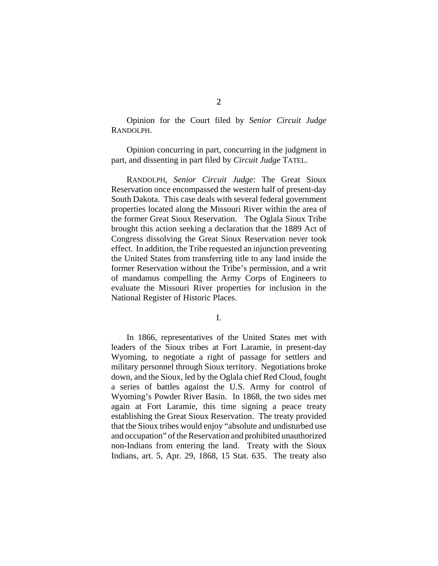Opinion for the Court filed by *Senior Circuit Judge* RANDOLPH.

Opinion concurring in part, concurring in the judgment in part, and dissenting in part filed by *Circuit Judge* TATEL.

RANDOLPH, *Senior Circuit Judge*: The Great Sioux Reservation once encompassed the western half of present-day South Dakota. This case deals with several federal government properties located along the Missouri River within the area of the former Great Sioux Reservation. The Oglala Sioux Tribe brought this action seeking a declaration that the 1889 Act of Congress dissolving the Great Sioux Reservation never took effect. In addition, the Tribe requested an injunction preventing the United States from transferring title to any land inside the former Reservation without the Tribe's permission, and a writ of mandamus compelling the Army Corps of Engineers to evaluate the Missouri River properties for inclusion in the National Register of Historic Places.

I.

In 1866, representatives of the United States met with leaders of the Sioux tribes at Fort Laramie, in present-day Wyoming, to negotiate a right of passage for settlers and military personnel through Sioux territory. Negotiations broke down, and the Sioux, led by the Oglala chief Red Cloud, fought a series of battles against the U.S. Army for control of Wyoming's Powder River Basin. In 1868, the two sides met again at Fort Laramie, this time signing a peace treaty establishing the Great Sioux Reservation. The treaty provided that the Sioux tribes would enjoy "absolute and undisturbed use and occupation" of the Reservation and prohibited unauthorized non-Indians from entering the land. Treaty with the Sioux Indians, art. 5, Apr. 29, 1868, 15 Stat. 635. The treaty also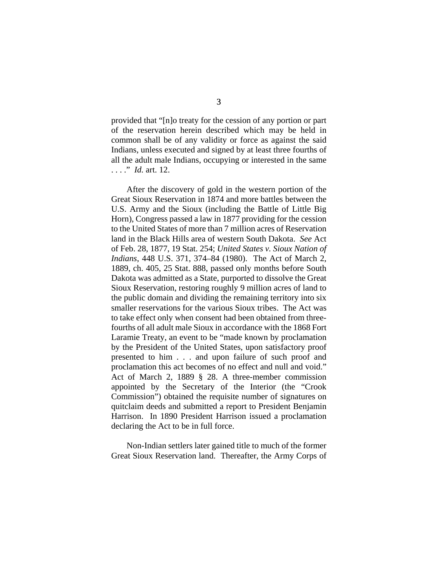provided that "[n]o treaty for the cession of any portion or part of the reservation herein described which may be held in common shall be of any validity or force as against the said Indians, unless executed and signed by at least three fourths of all the adult male Indians, occupying or interested in the same . . . ." *Id.* art. 12.

After the discovery of gold in the western portion of the Great Sioux Reservation in 1874 and more battles between the U.S. Army and the Sioux (including the Battle of Little Big Horn), Congress passed a law in 1877 providing for the cession to the United States of more than 7 million acres of Reservation land in the Black Hills area of western South Dakota. *See* Act of Feb. 28, 1877, 19 Stat. 254; *United States v. Sioux Nation of Indians*, 448 U.S. 371, 374–84 (1980). The Act of March 2, 1889, ch. 405, 25 Stat. 888, passed only months before South Dakota was admitted as a State, purported to dissolve the Great Sioux Reservation, restoring roughly 9 million acres of land to the public domain and dividing the remaining territory into six smaller reservations for the various Sioux tribes. The Act was to take effect only when consent had been obtained from threefourths of all adult male Sioux in accordance with the 1868 Fort Laramie Treaty, an event to be "made known by proclamation by the President of the United States, upon satisfactory proof presented to him . . . and upon failure of such proof and proclamation this act becomes of no effect and null and void." Act of March 2, 1889 § 28. A three-member commission appointed by the Secretary of the Interior (the "Crook Commission") obtained the requisite number of signatures on quitclaim deeds and submitted a report to President Benjamin Harrison. In 1890 President Harrison issued a proclamation declaring the Act to be in full force.

Non-Indian settlers later gained title to much of the former Great Sioux Reservation land. Thereafter, the Army Corps of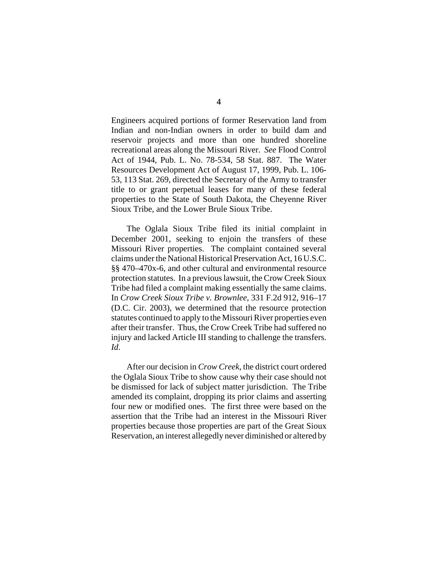Engineers acquired portions of former Reservation land from Indian and non-Indian owners in order to build dam and reservoir projects and more than one hundred shoreline recreational areas along the Missouri River. *See* Flood Control Act of 1944, Pub. L. No. 78-534, 58 Stat. 887. The Water Resources Development Act of August 17, 1999, Pub. L. 106- 53, 113 Stat. 269, directed the Secretary of the Army to transfer title to or grant perpetual leases for many of these federal properties to the State of South Dakota, the Cheyenne River Sioux Tribe, and the Lower Brule Sioux Tribe.

The Oglala Sioux Tribe filed its initial complaint in December 2001, seeking to enjoin the transfers of these Missouri River properties. The complaint contained several claims under the National Historical Preservation Act, 16 U.S.C. §§ 470–470x-6, and other cultural and environmental resource protection statutes. In a previous lawsuit, the Crow Creek Sioux Tribe had filed a complaint making essentially the same claims. In *Crow Creek Sioux Tribe v. Brownlee*, 331 F.2d 912, 916–17 (D.C. Cir. 2003), we determined that the resource protection statutes continued to apply to the Missouri River properties even after their transfer. Thus, the Crow Creek Tribe had suffered no injury and lacked Article III standing to challenge the transfers. *Id*.

After our decision in *Crow Creek*, the district court ordered the Oglala Sioux Tribe to show cause why their case should not be dismissed for lack of subject matter jurisdiction. The Tribe amended its complaint, dropping its prior claims and asserting four new or modified ones. The first three were based on the assertion that the Tribe had an interest in the Missouri River properties because those properties are part of the Great Sioux Reservation, an interest allegedly never diminished or altered by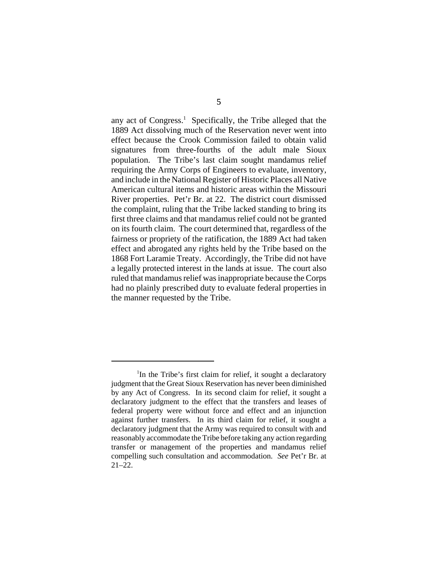any act of Congress.<sup>1</sup> Specifically, the Tribe alleged that the 1889 Act dissolving much of the Reservation never went into effect because the Crook Commission failed to obtain valid signatures from three-fourths of the adult male Sioux population. The Tribe's last claim sought mandamus relief requiring the Army Corps of Engineers to evaluate, inventory, and include in the National Register of Historic Places all Native American cultural items and historic areas within the Missouri River properties. Pet'r Br. at 22. The district court dismissed the complaint, ruling that the Tribe lacked standing to bring its first three claims and that mandamus relief could not be granted on its fourth claim. The court determined that, regardless of the fairness or propriety of the ratification, the 1889 Act had taken effect and abrogated any rights held by the Tribe based on the 1868 Fort Laramie Treaty. Accordingly, the Tribe did not have a legally protected interest in the lands at issue. The court also ruled that mandamus relief was inappropriate because the Corps had no plainly prescribed duty to evaluate federal properties in the manner requested by the Tribe.

<sup>&</sup>lt;sup>1</sup>In the Tribe's first claim for relief, it sought a declaratory judgment that the Great Sioux Reservation has never been diminished by any Act of Congress. In its second claim for relief, it sought a declaratory judgment to the effect that the transfers and leases of federal property were without force and effect and an injunction against further transfers. In its third claim for relief, it sought a declaratory judgment that the Army was required to consult with and reasonably accommodate the Tribe before taking any action regarding transfer or management of the properties and mandamus relief compelling such consultation and accommodation. *See* Pet'r Br. at  $21-22.$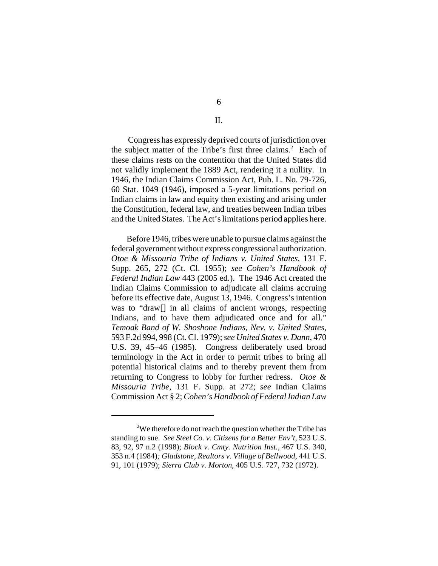## II.

 Congress has expressly deprived courts of jurisdiction over the subject matter of the Tribe's first three claims. $2$  Each of these claims rests on the contention that the United States did not validly implement the 1889 Act, rendering it a nullity. In 1946, the Indian Claims Commission Act, Pub. L. No. 79-726, 60 Stat. 1049 (1946), imposed a 5-year limitations period on Indian claims in law and equity then existing and arising under the Constitution, federal law, and treaties between Indian tribes and the United States. The Act's limitations period applies here.

Before 1946, tribes were unable to pursue claims against the federal government without express congressional authorization. *Otoe & Missouria Tribe of Indians v. United States*, 131 F. Supp. 265, 272 (Ct. Cl. 1955); *see Cohen's Handbook of Federal Indian Law* 443 (2005 ed.). The 1946 Act created the Indian Claims Commission to adjudicate all claims accruing before its effective date, August 13, 1946. Congress's intention was to "draw[] in all claims of ancient wrongs, respecting Indians, and to have them adjudicated once and for all." *Temoak Band of W. Shoshone Indians, Nev. v. United States*, 593 F.2d 994, 998 (Ct. Cl. 1979); *see United States v. Dann*, 470 U.S. 39, 45–46 (1985). Congress deliberately used broad terminology in the Act in order to permit tribes to bring all potential historical claims and to thereby prevent them from returning to Congress to lobby for further redress. *Otoe & Missouria Tribe*, 131 F. Supp. at 272; *see* Indian Claims Commission Act § 2; *Cohen's Handbook of Federal Indian Law*

<sup>&</sup>lt;sup>2</sup>We therefore do not reach the question whether the Tribe has standing to sue. *See Steel Co. v. Citizens for a Better Env't*, 523 U.S. 83, 92, 97 n.2 (1998); *Block v. Cmty. Nutrition Inst.*, 467 U.S. 340, 353 n.4 (1984)*; Gladstone, Realtors v. Village of Bellwood*, 441 U.S. 91, 101 (1979); *Sierra Club v. Morton*, 405 U.S. 727, 732 (1972).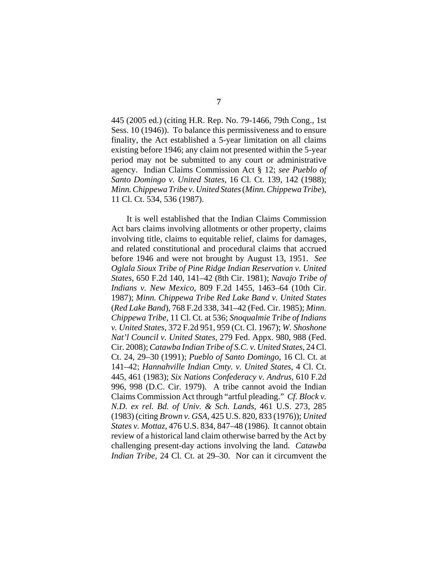445 (2005 ed.) (citing H.R. Rep. No. 79-1466, 79th Cong., 1st Sess. 10 (1946)). To balance this permissiveness and to ensure finality, the Act established a 5-year limitation on all claims existing before 1946; any claim not presented within the 5-year period may not be submitted to any court or administrative agency. Indian Claims Commission Act § 12; *see Pueblo of Santo Domingo v. United States*, 16 Cl. Ct. 139, 142 (1988); *Minn. Chippewa Tribe v. United States* (*Minn. Chippewa Tribe*), 11 Cl. Ct. 534, 536 (1987).

It is well established that the Indian Claims Commission Act bars claims involving allotments or other property, claims involving title, claims to equitable relief, claims for damages, and related constitutional and procedural claims that accrued before 1946 and were not brought by August 13, 1951. *See Oglala Sioux Tribe of Pine Ridge Indian Reservation v. United States*, 650 F.2d 140, 141–42 (8th Cir. 1981); *Navajo Tribe of Indians v. New Mexico*, 809 F.2d 1455, 1463–64 (10th Cir. 1987); *Minn. Chippewa Tribe Red Lake Band v. United States* (*Red Lake Band*), 768 F.2d 338, 341–42 (Fed. Cir. 1985); *Minn. Chippewa Tribe*, 11 Cl. Ct. at 536; *Snoqualmie Tribe of Indians v. United States,* 372 F.2d 951, 959 (Ct. Cl. 1967); *W. Shoshone Nat'l Council v. United States*, 279 Fed. Appx. 980, 988 (Fed. Cir. 2008); *Catawba Indian Tribe of S.C. v. United States*, 24 Cl. Ct. 24, 29–30 (1991); *Pueblo of Santo Domingo*, 16 Cl. Ct. at 141–42; *Hannahville Indian Cmty. v. United States*, 4 Cl. Ct. 445, 461 (1983); *Six Nations Confederacy v. Andrus*, 610 F.2d 996, 998 (D.C. Cir. 1979). A tribe cannot avoid the Indian Claims Commission Act through "artful pleading." *Cf. Block v. N.D. ex rel. Bd. of Univ. & Sch. Lands*, 461 U.S. 273, 285 (1983) (citing *Brown v. GSA*, 425 U.S. 820, 833 (1976)); *United States v. Mottaz*, 476 U.S. 834, 847–48 (1986). It cannot obtain review of a historical land claim otherwise barred by the Act by challenging present-day actions involving the land. *Catawba Indian Tribe*, 24 Cl. Ct. at 29–30. Nor can it circumvent the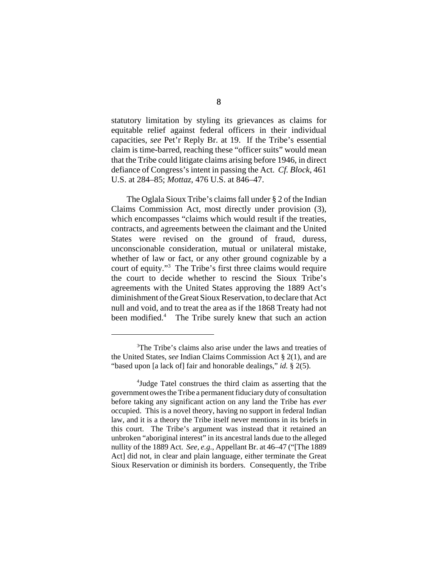statutory limitation by styling its grievances as claims for equitable relief against federal officers in their individual capacities, *see* Pet'r Reply Br. at 19. If the Tribe's essential claim is time-barred, reaching these "officer suits" would mean that the Tribe could litigate claims arising before 1946, in direct defiance of Congress's intent in passing the Act. *Cf. Block*, 461 U.S. at 284–85; *Mottaz*, 476 U.S. at 846–47.

The Oglala Sioux Tribe's claims fall under § 2 of the Indian Claims Commission Act, most directly under provision (3), which encompasses "claims which would result if the treaties, contracts, and agreements between the claimant and the United States were revised on the ground of fraud, duress, unconscionable consideration, mutual or unilateral mistake, whether of law or fact, or any other ground cognizable by a court of equity."3 The Tribe's first three claims would require the court to decide whether to rescind the Sioux Tribe's agreements with the United States approving the 1889 Act's diminishment of the Great Sioux Reservation, to declare that Act null and void, and to treat the area as if the 1868 Treaty had not been modified.<sup>4</sup> The Tribe surely knew that such an action

<sup>&</sup>lt;sup>3</sup>The Tribe's claims also arise under the laws and treaties of the United States, *see* Indian Claims Commission Act § 2(1), and are "based upon [a lack of] fair and honorable dealings," *id.* § 2(5).

<sup>4</sup> Judge Tatel construes the third claim as asserting that the government owes the Tribe a permanent fiduciary duty of consultation before taking any significant action on any land the Tribe has *ever* occupied. This is a novel theory, having no support in federal Indian law, and it is a theory the Tribe itself never mentions in its briefs in this court. The Tribe's argument was instead that it retained an unbroken "aboriginal interest" in its ancestral lands due to the alleged nullity of the 1889 Act. *See, e.g.*, Appellant Br. at 46–47 ("[The 1889 Act] did not, in clear and plain language, either terminate the Great Sioux Reservation or diminish its borders. Consequently, the Tribe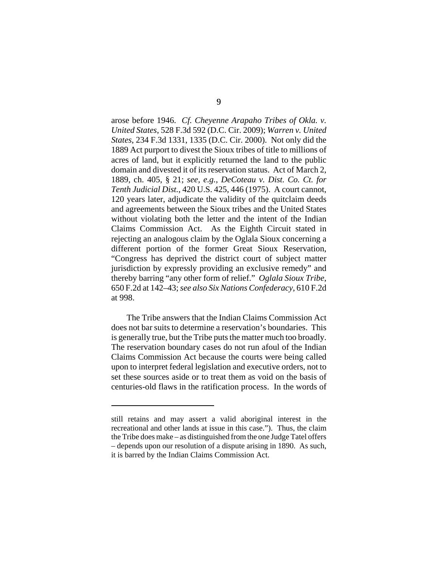arose before 1946. *Cf. Cheyenne Arapaho Tribes of Okla. v. United States*, 528 F.3d 592 (D.C. Cir. 2009); *Warren v. United States*, 234 F.3d 1331, 1335 (D.C. Cir. 2000). Not only did the 1889 Act purport to divest the Sioux tribes of title to millions of acres of land, but it explicitly returned the land to the public domain and divested it of its reservation status. Act of March 2, 1889, ch. 405, § 21; *see, e.g.*, *DeCoteau v. Dist. Co. Ct. for Tenth Judicial Dist.*, 420 U.S. 425, 446 (1975). A court cannot, 120 years later, adjudicate the validity of the quitclaim deeds and agreements between the Sioux tribes and the United States without violating both the letter and the intent of the Indian Claims Commission Act. As the Eighth Circuit stated in rejecting an analogous claim by the Oglala Sioux concerning a different portion of the former Great Sioux Reservation, "Congress has deprived the district court of subject matter jurisdiction by expressly providing an exclusive remedy" and thereby barring "any other form of relief." *Oglala Sioux Tribe*, 650 F.2d at 142–43; *see also Six Nations Confederacy*, 610 F.2d at 998.

The Tribe answers that the Indian Claims Commission Act does not bar suits to determine a reservation's boundaries. This is generally true, but the Tribe puts the matter much too broadly. The reservation boundary cases do not run afoul of the Indian Claims Commission Act because the courts were being called upon to interpret federal legislation and executive orders, not to set these sources aside or to treat them as void on the basis of centuries-old flaws in the ratification process. In the words of

still retains and may assert a valid aboriginal interest in the recreational and other lands at issue in this case."). Thus, the claim the Tribe does make – as distinguished from the one Judge Tatel offers – depends upon our resolution of a dispute arising in 1890. As such, it is barred by the Indian Claims Commission Act.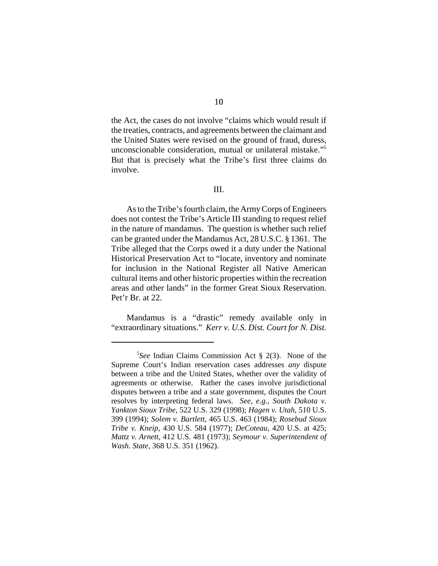the Act, the cases do not involve "claims which would result if the treaties, contracts, and agreements between the claimant and the United States were revised on the ground of fraud, duress, unconscionable consideration, mutual or unilateral mistake."5 But that is precisely what the Tribe's first three claims do involve.

## III.

As to the Tribe's fourth claim, the Army Corps of Engineers does not contest the Tribe's Article III standing to request relief in the nature of mandamus. The question is whether such relief can be granted under the Mandamus Act, 28 U.S.C. § 1361. The Tribe alleged that the Corps owed it a duty under the National Historical Preservation Act to "locate, inventory and nominate for inclusion in the National Register all Native American cultural items and other historic properties within the recreation areas and other lands" in the former Great Sioux Reservation. Pet'r Br. at 22.

Mandamus is a "drastic" remedy available only in "extraordinary situations." *Kerr v. U.S. Dist. Court for N. Dist.*

<sup>5</sup> *See* Indian Claims Commission Act § 2(3). None of the Supreme Court's Indian reservation cases addresses *any* dispute between a tribe and the United States, whether over the validity of agreements or otherwise. Rather the cases involve jurisdictional disputes between a tribe and a state government, disputes the Court resolves by interpreting federal laws.*See, e.g.*, *South Dakota v. Yankton Sioux Tribe*, 522 U.S. 329 (1998); *Hagen v. Utah,* 510 U.S. 399 (1994); *Solem v. Bartlett*, 465 U.S. 463 (1984); *Rosebud Sioux Tribe v. Kneip*, 430 U.S. 584 (1977); *DeCoteau*, 420 U.S. at 425; *Mattz v. Arnett*, 412 U.S. 481 (1973); *Seymour v. Superintendent of Wash. State*, 368 U.S. 351 (1962).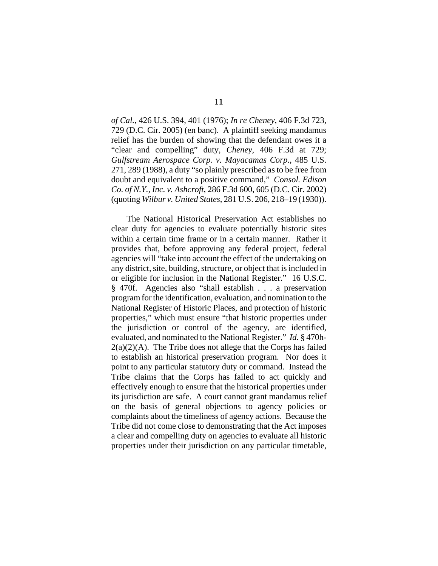*of Cal.*, 426 U.S. 394, 401 (1976); *In re Cheney*, 406 F.3d 723, 729 (D.C. Cir. 2005) (en banc). A plaintiff seeking mandamus relief has the burden of showing that the defendant owes it a "clear and compelling" duty, *Cheney*, 406 F.3d at 729; *Gulfstream Aerospace Corp. v. Mayacamas Corp.*, 485 U.S. 271, 289 (1988), a duty "so plainly prescribed as to be free from doubt and equivalent to a positive command," *Consol. Edison Co. of N.Y., Inc. v. Ashcroft*, 286 F.3d 600, 605 (D.C. Cir. 2002) (quoting *Wilbur v. United States*, 281 U.S. 206, 218–19 (1930)).

The National Historical Preservation Act establishes no clear duty for agencies to evaluate potentially historic sites within a certain time frame or in a certain manner. Rather it provides that, before approving any federal project, federal agencies will "take into account the effect of the undertaking on any district, site, building, structure, or object that is included in or eligible for inclusion in the National Register." 16 U.S.C. § 470f. Agencies also "shall establish . . . a preservation program for the identification, evaluation, and nomination to the National Register of Historic Places, and protection of historic properties," which must ensure "that historic properties under the jurisdiction or control of the agency, are identified, evaluated, and nominated to the National Register." *Id.* § 470h- $2(a)(2)(A)$ . The Tribe does not allege that the Corps has failed to establish an historical preservation program. Nor does it point to any particular statutory duty or command. Instead the Tribe claims that the Corps has failed to act quickly and effectively enough to ensure that the historical properties under its jurisdiction are safe. A court cannot grant mandamus relief on the basis of general objections to agency policies or complaints about the timeliness of agency actions. Because the Tribe did not come close to demonstrating that the Act imposes a clear and compelling duty on agencies to evaluate all historic properties under their jurisdiction on any particular timetable,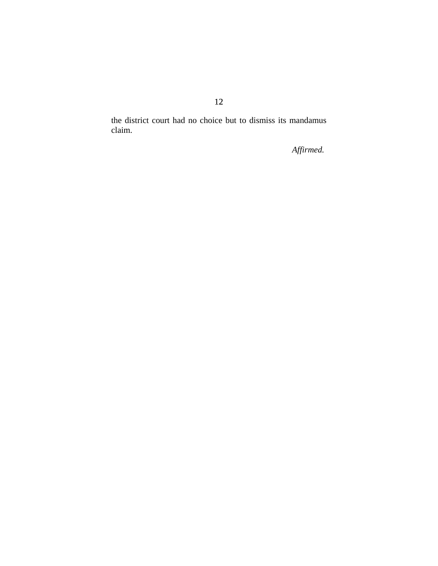the district court had no choice but to dismiss its mandamus claim.

*Affirmed.*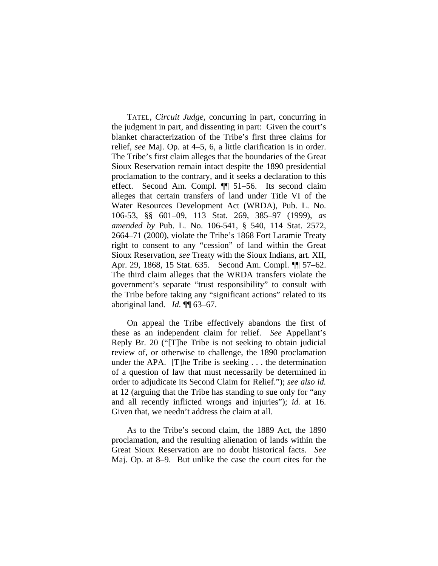TATEL, *Circuit Judge*, concurring in part, concurring in the judgment in part, and dissenting in part: Given the court's blanket characterization of the Tribe's first three claims for relief, *see* Maj. Op. at 4–5, 6, a little clarification is in order. The Tribe's first claim alleges that the boundaries of the Great Sioux Reservation remain intact despite the 1890 presidential proclamation to the contrary, and it seeks a declaration to this effect. Second Am. Compl. ¶¶ 51–56. Its second claim alleges that certain transfers of land under Title VI of the Water Resources Development Act (WRDA), Pub. L. No. 106-53, §§ 601–09, 113 Stat. 269, 385–97 (1999), *as amended by* Pub. L. No. 106-541, § 540, 114 Stat. 2572, 2664–71 (2000), violate the Tribe's 1868 Fort Laramie Treaty right to consent to any "cession" of land within the Great Sioux Reservation, *see* Treaty with the Sioux Indians, art. XII, Apr. 29, 1868, 15 Stat. 635. Second Am. Compl. ¶¶ 57–62. The third claim alleges that the WRDA transfers violate the government's separate "trust responsibility" to consult with the Tribe before taking any "significant actions" related to its aboriginal land. *Id.* ¶¶ 63–67.

On appeal the Tribe effectively abandons the first of these as an independent claim for relief. *See* Appellant's Reply Br. 20 ("[T]he Tribe is not seeking to obtain judicial review of, or otherwise to challenge, the 1890 proclamation under the APA. [T]he Tribe is seeking . . . the determination of a question of law that must necessarily be determined in order to adjudicate its Second Claim for Relief."); *see also id.* at 12 (arguing that the Tribe has standing to sue only for "any and all recently inflicted wrongs and injuries"); *id.* at 16. Given that, we needn't address the claim at all.

As to the Tribe's second claim, the 1889 Act, the 1890 proclamation, and the resulting alienation of lands within the Great Sioux Reservation are no doubt historical facts. *See*  Maj. Op. at 8–9. But unlike the case the court cites for the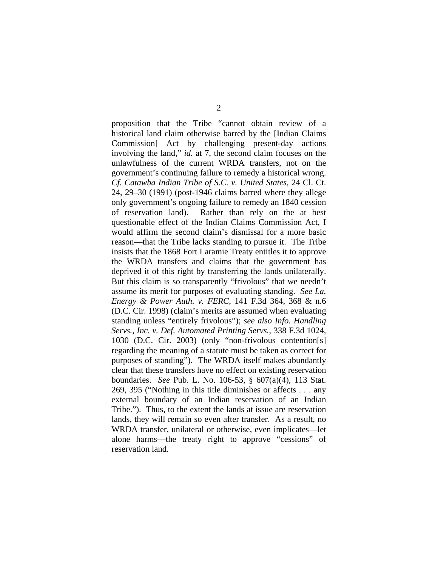proposition that the Tribe "cannot obtain review of a historical land claim otherwise barred by the [Indian Claims Commission] Act by challenging present-day actions involving the land," *id.* at 7, the second claim focuses on the unlawfulness of the current WRDA transfers, not on the government's continuing failure to remedy a historical wrong. *Cf. Catawba Indian Tribe of S.C. v. United States*, 24 Cl. Ct. 24, 29–30 (1991) (post-1946 claims barred where they allege only government's ongoing failure to remedy an 1840 cession of reservation land). Rather than rely on the at best questionable effect of the Indian Claims Commission Act, I would affirm the second claim's dismissal for a more basic reason—that the Tribe lacks standing to pursue it. The Tribe insists that the 1868 Fort Laramie Treaty entitles it to approve the WRDA transfers and claims that the government has deprived it of this right by transferring the lands unilaterally. But this claim is so transparently "frivolous" that we needn't assume its merit for purposes of evaluating standing. *See La. Energy & Power Auth. v. FERC*, 141 F.3d 364, 368 & n.6 (D.C. Cir. 1998) (claim's merits are assumed when evaluating standing unless "entirely frivolous"); *see also Info. Handling Servs., Inc. v. Def. Automated Printing Servs.*, 338 F.3d 1024, 1030 (D.C. Cir. 2003) (only "non-frivolous contention[s] regarding the meaning of a statute must be taken as correct for purposes of standing"). The WRDA itself makes abundantly clear that these transfers have no effect on existing reservation boundaries. *See* Pub. L. No. 106-53, § 607(a)(4), 113 Stat. 269, 395 ("Nothing in this title diminishes or affects . . . any external boundary of an Indian reservation of an Indian Tribe."). Thus, to the extent the lands at issue are reservation lands, they will remain so even after transfer. As a result, no WRDA transfer, unilateral or otherwise, even implicates—let alone harms—the treaty right to approve "cessions" of reservation land.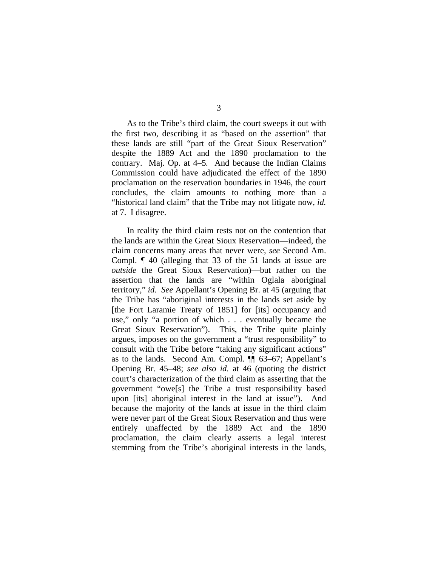As to the Tribe's third claim, the court sweeps it out with the first two, describing it as "based on the assertion" that these lands are still "part of the Great Sioux Reservation" despite the 1889 Act and the 1890 proclamation to the contrary. Maj. Op. at 4–5*.* And because the Indian Claims Commission could have adjudicated the effect of the 1890 proclamation on the reservation boundaries in 1946, the court concludes, the claim amounts to nothing more than a "historical land claim" that the Tribe may not litigate now, *id.* at 7. I disagree.

In reality the third claim rests not on the contention that the lands are within the Great Sioux Reservation—indeed, the claim concerns many areas that never were, *see* Second Am. Compl. ¶ 40 (alleging that 33 of the 51 lands at issue are *outside* the Great Sioux Reservation)—but rather on the assertion that the lands are "within Oglala aboriginal territory," *id. See* Appellant's Opening Br. at 45 (arguing that the Tribe has "aboriginal interests in the lands set aside by [the Fort Laramie Treaty of 1851] for [its] occupancy and use," only "a portion of which . . . eventually became the Great Sioux Reservation"). This, the Tribe quite plainly argues, imposes on the government a "trust responsibility" to consult with the Tribe before "taking any significant actions" as to the lands. Second Am. Compl. ¶¶ 63–67; Appellant's Opening Br. 45–48; *see also id.* at 46 (quoting the district court's characterization of the third claim as asserting that the government "owe[s] the Tribe a trust responsibility based upon [its] aboriginal interest in the land at issue"). And because the majority of the lands at issue in the third claim were never part of the Great Sioux Reservation and thus were entirely unaffected by the 1889 Act and the 1890 proclamation, the claim clearly asserts a legal interest stemming from the Tribe's aboriginal interests in the lands,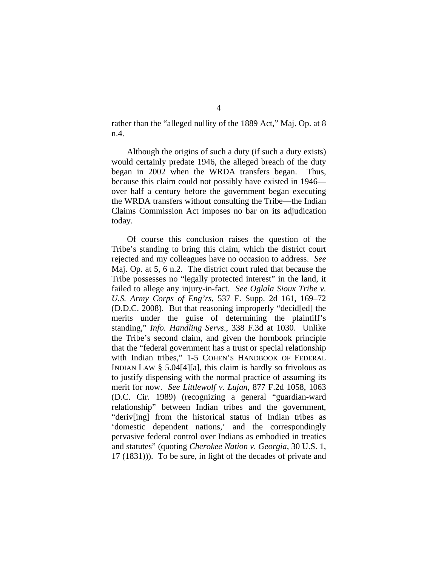rather than the "alleged nullity of the 1889 Act," Maj. Op. at 8 n.4.

Although the origins of such a duty (if such a duty exists) would certainly predate 1946, the alleged breach of the duty began in 2002 when the WRDA transfers began. Thus, because this claim could not possibly have existed in 1946 over half a century before the government began executing the WRDA transfers without consulting the Tribe—the Indian Claims Commission Act imposes no bar on its adjudication today.

Of course this conclusion raises the question of the Tribe's standing to bring this claim, which the district court rejected and my colleagues have no occasion to address. *See*  Maj. Op. at 5, 6 n.2. The district court ruled that because the Tribe possesses no "legally protected interest" in the land, it failed to allege any injury-in-fact. *See Oglala Sioux Tribe v. U.S. Army Corps of Eng'rs*, 537 F. Supp. 2d 161, 169–72 (D.D.C. 2008). But that reasoning improperly "decid[ed] the merits under the guise of determining the plaintiff's standing," *Info. Handling Servs*., 338 F.3d at 1030. Unlike the Tribe's second claim, and given the hornbook principle that the "federal government has a trust or special relationship with Indian tribes," 1-5 COHEN'S HANDBOOK OF FEDERAL INDIAN LAW § 5.04[4][a], this claim is hardly so frivolous as to justify dispensing with the normal practice of assuming its merit for now. *See Littlewolf v. Lujan*, 877 F.2d 1058, 1063 (D.C. Cir. 1989) (recognizing a general "guardian-ward relationship" between Indian tribes and the government, "deriv[ing] from the historical status of Indian tribes as 'domestic dependent nations,' and the correspondingly pervasive federal control over Indians as embodied in treaties and statutes" (quoting *Cherokee Nation v. Georgia*, 30 U.S. 1, 17 (1831))). To be sure, in light of the decades of private and